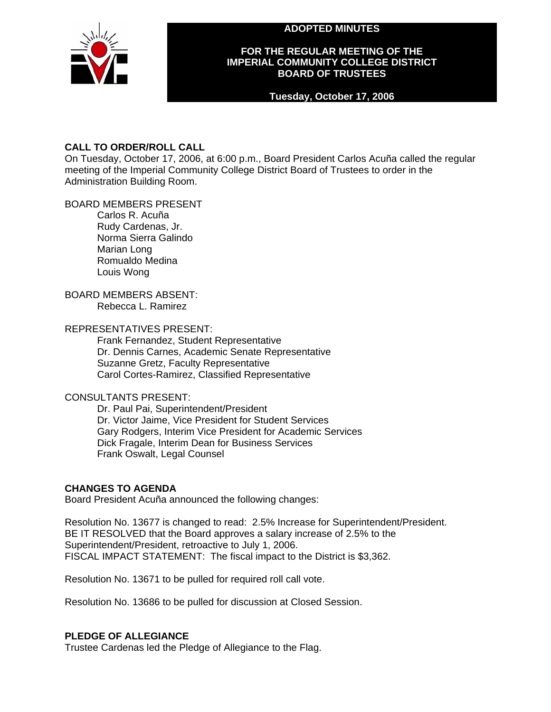**ADOPTED MINUTES** 



## **FOR THE REGULAR MEETING OF THE IMPERIAL COMMUNITY COLLEGE DISTRICT BOARD OF TRUSTEES**

### **Tuesday, October 17, 2006**

## **CALL TO ORDER/ROLL CALL**

On Tuesday, October 17, 2006, at 6:00 p.m., Board President Carlos Acuña called the regular meeting of the Imperial Community College District Board of Trustees to order in the Administration Building Room.

## BOARD MEMBERS PRESENT

Carlos R. Acuña Rudy Cardenas, Jr. Norma Sierra Galindo Marian Long Romualdo Medina Louis Wong

# BOARD MEMBERS ABSENT:

Rebecca L. Ramirez

### REPRESENTATIVES PRESENT:

Frank Fernandez, Student Representative Dr. Dennis Carnes, Academic Senate Representative Suzanne Gretz, Faculty Representative Carol Cortes-Ramirez, Classified Representative

## CONSULTANTS PRESENT:

Dr. Paul Pai, Superintendent/President Dr. Victor Jaime, Vice President for Student Services Gary Rodgers, Interim Vice President for Academic Services Dick Fragale, Interim Dean for Business Services Frank Oswalt, Legal Counsel

## **CHANGES TO AGENDA**

Board President Acuña announced the following changes:

Resolution No. 13677 is changed to read: 2.5% Increase for Superintendent/President. BE IT RESOLVED that the Board approves a salary increase of 2.5% to the Superintendent/President, retroactive to July 1, 2006. FISCAL IMPACT STATEMENT: The fiscal impact to the District is \$3,362.

Resolution No. 13671 to be pulled for required roll call vote.

Resolution No. 13686 to be pulled for discussion at Closed Session.

#### **PLEDGE OF ALLEGIANCE**

Trustee Cardenas led the Pledge of Allegiance to the Flag.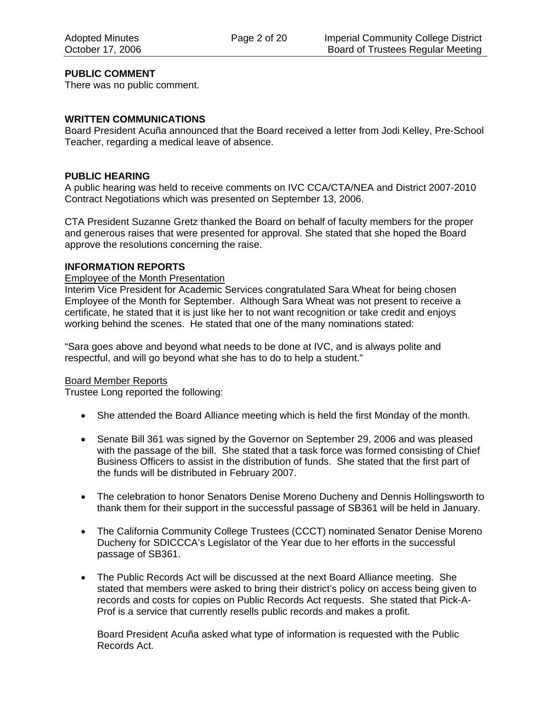## **PUBLIC COMMENT**

There was no public comment.

### **WRITTEN COMMUNICATIONS**

Board President Acuña announced that the Board received a letter from Jodi Kelley, Pre-School Teacher, regarding a medical leave of absence.

### **PUBLIC HEARING**

A public hearing was held to receive comments on IVC CCA/CTA/NEA and District 2007-2010 Contract Negotiations which was presented on September 13, 2006.

CTA President Suzanne Gretz thanked the Board on behalf of faculty members for the proper and generous raises that were presented for approval. She stated that she hoped the Board approve the resolutions concerning the raise.

### **INFORMATION REPORTS**

### Employee of the Month Presentation

Interim Vice President for Academic Services congratulated Sara Wheat for being chosen Employee of the Month for September. Although Sara Wheat was not present to receive a certificate, he stated that it is just like her to not want recognition or take credit and enjoys working behind the scenes. He stated that one of the many nominations stated:

"Sara goes above and beyond what needs to be done at IVC, and is always polite and respectful, and will go beyond what she has to do to help a student."

#### Board Member Reports

Trustee Long reported the following:

- She attended the Board Alliance meeting which is held the first Monday of the month.
- Senate Bill 361 was signed by the Governor on September 29, 2006 and was pleased with the passage of the bill. She stated that a task force was formed consisting of Chief Business Officers to assist in the distribution of funds. She stated that the first part of the funds will be distributed in February 2007.
- The celebration to honor Senators Denise Moreno Ducheny and Dennis Hollingsworth to thank them for their support in the successful passage of SB361 will be held in January.
- The California Community College Trustees (CCCT) nominated Senator Denise Moreno Ducheny for SDICCCA's Legislator of the Year due to her efforts in the successful passage of SB361.
- The Public Records Act will be discussed at the next Board Alliance meeting. She stated that members were asked to bring their district's policy on access being given to records and costs for copies on Public Records Act requests. She stated that Pick-A-Prof is a service that currently resells public records and makes a profit.

Board President Acuña asked what type of information is requested with the Public Records Act.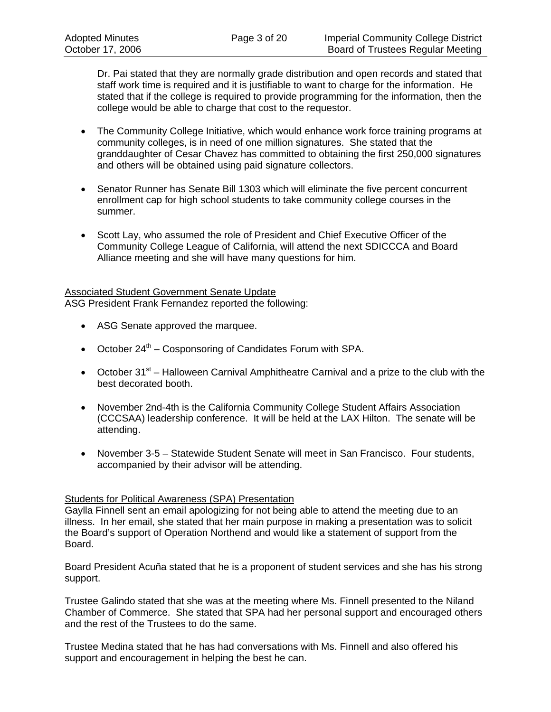Dr. Pai stated that they are normally grade distribution and open records and stated that staff work time is required and it is justifiable to want to charge for the information. He stated that if the college is required to provide programming for the information, then the college would be able to charge that cost to the requestor.

- The Community College Initiative, which would enhance work force training programs at community colleges, is in need of one million signatures. She stated that the granddaughter of Cesar Chavez has committed to obtaining the first 250,000 signatures and others will be obtained using paid signature collectors.
- Senator Runner has Senate Bill 1303 which will eliminate the five percent concurrent enrollment cap for high school students to take community college courses in the summer.
- Scott Lay, who assumed the role of President and Chief Executive Officer of the Community College League of California, will attend the next SDICCCA and Board Alliance meeting and she will have many questions for him.

#### Associated Student Government Senate Update

ASG President Frank Fernandez reported the following:

- ASG Senate approved the marquee.
- October  $24<sup>th</sup>$  Cosponsoring of Candidates Forum with SPA.
- October 31<sup>st</sup> Halloween Carnival Amphitheatre Carnival and a prize to the club with the best decorated booth.
- November 2nd-4th is the California Community College Student Affairs Association (CCCSAA) leadership conference. It will be held at the LAX Hilton. The senate will be attending.
- November 3-5 Statewide Student Senate will meet in San Francisco. Four students, accompanied by their advisor will be attending.

## Students for Political Awareness (SPA) Presentation

Gaylla Finnell sent an email apologizing for not being able to attend the meeting due to an illness. In her email, she stated that her main purpose in making a presentation was to solicit the Board's support of Operation Northend and would like a statement of support from the Board.

Board President Acuña stated that he is a proponent of student services and she has his strong support.

Trustee Galindo stated that she was at the meeting where Ms. Finnell presented to the Niland Chamber of Commerce. She stated that SPA had her personal support and encouraged others and the rest of the Trustees to do the same.

Trustee Medina stated that he has had conversations with Ms. Finnell and also offered his support and encouragement in helping the best he can.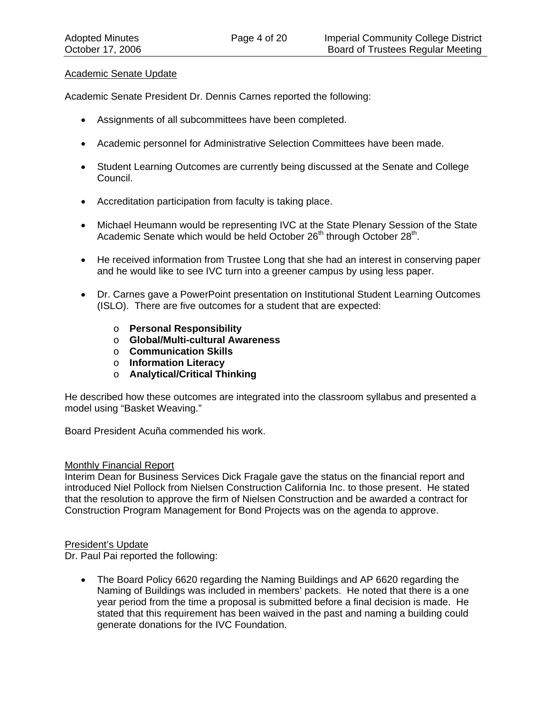#### Academic Senate Update

Academic Senate President Dr. Dennis Carnes reported the following:

- Assignments of all subcommittees have been completed.
- Academic personnel for Administrative Selection Committees have been made.
- Student Learning Outcomes are currently being discussed at the Senate and College Council.
- Accreditation participation from faculty is taking place.
- Michael Heumann would be representing IVC at the State Plenary Session of the State Academic Senate which would be held October 26<sup>th</sup> through October 28<sup>th</sup>.
- He received information from Trustee Long that she had an interest in conserving paper and he would like to see IVC turn into a greener campus by using less paper.
- Dr. Carnes gave a PowerPoint presentation on Institutional Student Learning Outcomes (ISLO). There are five outcomes for a student that are expected:
	- o **Personal Responsibility**
	- o **Global/Multi-cultural Awareness**
	- o **Communication Skills**
	- o **Information Literacy**
	- o **Analytical/Critical Thinking**

He described how these outcomes are integrated into the classroom syllabus and presented a model using "Basket Weaving."

Board President Acuña commended his work.

#### Monthly Financial Report

Interim Dean for Business Services Dick Fragale gave the status on the financial report and introduced Niel Pollock from Nielsen Construction California Inc. to those present. He stated that the resolution to approve the firm of Nielsen Construction and be awarded a contract for Construction Program Management for Bond Projects was on the agenda to approve.

#### President's Update

Dr. Paul Pai reported the following:

• The Board Policy 6620 regarding the Naming Buildings and AP 6620 regarding the Naming of Buildings was included in members' packets. He noted that there is a one year period from the time a proposal is submitted before a final decision is made. He stated that this requirement has been waived in the past and naming a building could generate donations for the IVC Foundation.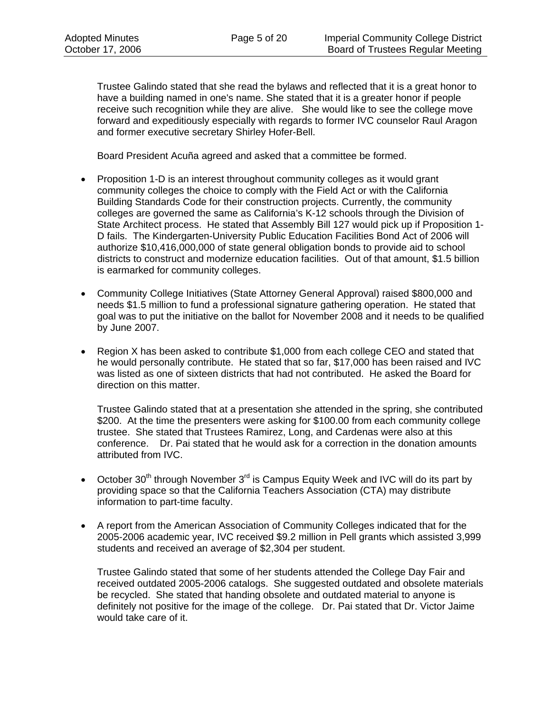Trustee Galindo stated that she read the bylaws and reflected that it is a great honor to have a building named in one's name. She stated that it is a greater honor if people receive such recognition while they are alive. She would like to see the college move forward and expeditiously especially with regards to former IVC counselor Raul Aragon and former executive secretary Shirley Hofer-Bell.

Board President Acuña agreed and asked that a committee be formed.

- Proposition 1-D is an interest throughout community colleges as it would grant community colleges the choice to comply with the Field Act or with the California Building Standards Code for their construction projects. Currently, the community colleges are governed the same as California's K-12 schools through the Division of State Architect process. He stated that Assembly Bill 127 would pick up if Proposition 1- D fails. The Kindergarten-University Public Education Facilities Bond Act of 2006 will authorize \$10,416,000,000 of state general obligation bonds to provide aid to school districts to construct and modernize education facilities. Out of that amount, \$1.5 billion is earmarked for community colleges.
- Community College Initiatives (State Attorney General Approval) raised \$800,000 and needs \$1.5 million to fund a professional signature gathering operation. He stated that goal was to put the initiative on the ballot for November 2008 and it needs to be qualified by June 2007.
- Region X has been asked to contribute \$1,000 from each college CEO and stated that he would personally contribute. He stated that so far, \$17,000 has been raised and IVC was listed as one of sixteen districts that had not contributed. He asked the Board for direction on this matter.

Trustee Galindo stated that at a presentation she attended in the spring, she contributed \$200. At the time the presenters were asking for \$100.00 from each community college trustee. She stated that Trustees Ramirez, Long, and Cardenas were also at this conference. Dr. Pai stated that he would ask for a correction in the donation amounts attributed from IVC.

- October 30<sup>th</sup> through November 3<sup>rd</sup> is Campus Equity Week and IVC will do its part by providing space so that the California Teachers Association (CTA) may distribute information to part-time faculty.
- A report from the American Association of Community Colleges indicated that for the 2005-2006 academic year, IVC received \$9.2 million in Pell grants which assisted 3,999 students and received an average of \$2,304 per student.

Trustee Galindo stated that some of her students attended the College Day Fair and received outdated 2005-2006 catalogs. She suggested outdated and obsolete materials be recycled. She stated that handing obsolete and outdated material to anyone is definitely not positive for the image of the college. Dr. Pai stated that Dr. Victor Jaime would take care of it.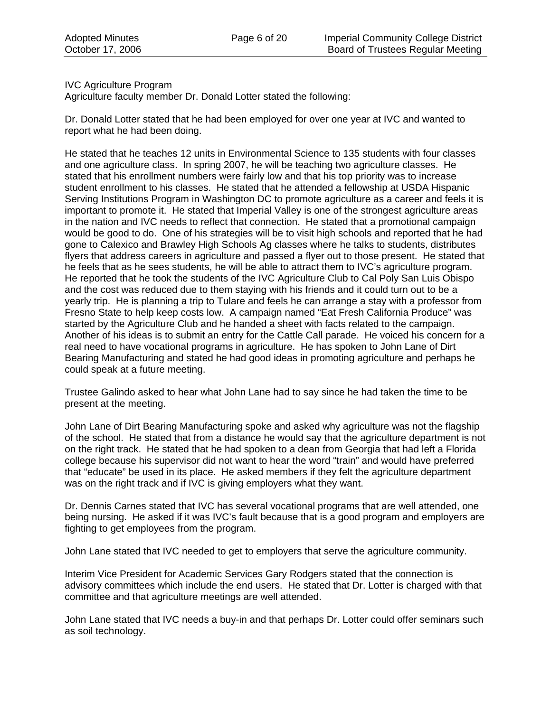## IVC Agriculture Program

Agriculture faculty member Dr. Donald Lotter stated the following:

Dr. Donald Lotter stated that he had been employed for over one year at IVC and wanted to report what he had been doing.

He stated that he teaches 12 units in Environmental Science to 135 students with four classes and one agriculture class. In spring 2007, he will be teaching two agriculture classes. He stated that his enrollment numbers were fairly low and that his top priority was to increase student enrollment to his classes. He stated that he attended a fellowship at USDA Hispanic Serving Institutions Program in Washington DC to promote agriculture as a career and feels it is important to promote it. He stated that Imperial Valley is one of the strongest agriculture areas in the nation and IVC needs to reflect that connection. He stated that a promotional campaign would be good to do. One of his strategies will be to visit high schools and reported that he had gone to Calexico and Brawley High Schools Ag classes where he talks to students, distributes flyers that address careers in agriculture and passed a flyer out to those present. He stated that he feels that as he sees students, he will be able to attract them to IVC's agriculture program. He reported that he took the students of the IVC Agriculture Club to Cal Poly San Luis Obispo and the cost was reduced due to them staying with his friends and it could turn out to be a yearly trip. He is planning a trip to Tulare and feels he can arrange a stay with a professor from Fresno State to help keep costs low. A campaign named "Eat Fresh California Produce" was started by the Agriculture Club and he handed a sheet with facts related to the campaign. Another of his ideas is to submit an entry for the Cattle Call parade. He voiced his concern for a real need to have vocational programs in agriculture. He has spoken to John Lane of Dirt Bearing Manufacturing and stated he had good ideas in promoting agriculture and perhaps he could speak at a future meeting.

Trustee Galindo asked to hear what John Lane had to say since he had taken the time to be present at the meeting.

John Lane of Dirt Bearing Manufacturing spoke and asked why agriculture was not the flagship of the school. He stated that from a distance he would say that the agriculture department is not on the right track. He stated that he had spoken to a dean from Georgia that had left a Florida college because his supervisor did not want to hear the word "train" and would have preferred that "educate" be used in its place. He asked members if they felt the agriculture department was on the right track and if IVC is giving employers what they want.

Dr. Dennis Carnes stated that IVC has several vocational programs that are well attended, one being nursing. He asked if it was IVC's fault because that is a good program and employers are fighting to get employees from the program.

John Lane stated that IVC needed to get to employers that serve the agriculture community.

Interim Vice President for Academic Services Gary Rodgers stated that the connection is advisory committees which include the end users. He stated that Dr. Lotter is charged with that committee and that agriculture meetings are well attended.

John Lane stated that IVC needs a buy-in and that perhaps Dr. Lotter could offer seminars such as soil technology.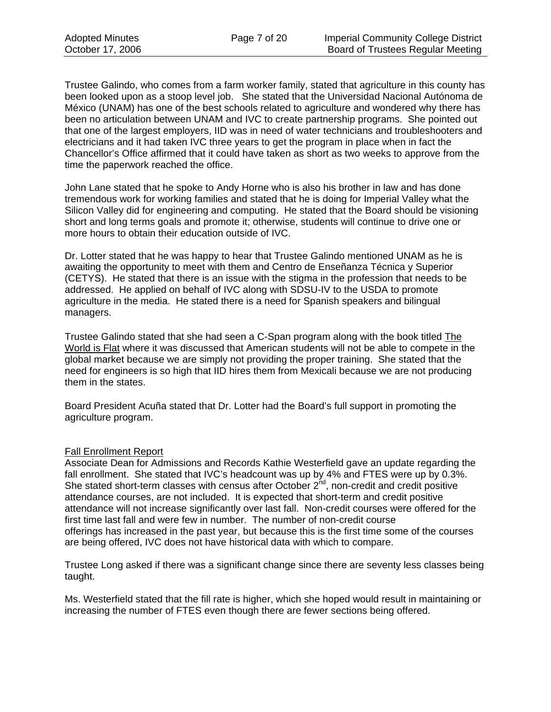Trustee Galindo, who comes from a farm worker family, stated that agriculture in this county has been looked upon as a stoop level job. She stated that the Universidad Nacional Autónoma de México (UNAM) has one of the best schools related to agriculture and wondered why there has been no articulation between UNAM and IVC to create partnership programs. She pointed out that one of the largest employers, IID was in need of water technicians and troubleshooters and electricians and it had taken IVC three years to get the program in place when in fact the Chancellor's Office affirmed that it could have taken as short as two weeks to approve from the time the paperwork reached the office.

John Lane stated that he spoke to Andy Horne who is also his brother in law and has done tremendous work for working families and stated that he is doing for Imperial Valley what the Silicon Valley did for engineering and computing. He stated that the Board should be visioning short and long terms goals and promote it; otherwise, students will continue to drive one or more hours to obtain their education outside of IVC.

Dr. Lotter stated that he was happy to hear that Trustee Galindo mentioned UNAM as he is awaiting the opportunity to meet with them and Centro de Enseñanza Técnica y Superior (CETYS). He stated that there is an issue with the stigma in the profession that needs to be addressed. He applied on behalf of IVC along with SDSU-IV to the USDA to promote agriculture in the media. He stated there is a need for Spanish speakers and bilingual managers.

Trustee Galindo stated that she had seen a C-Span program along with the book titled The World is Flat where it was discussed that American students will not be able to compete in the global market because we are simply not providing the proper training. She stated that the need for engineers is so high that IID hires them from Mexicali because we are not producing them in the states.

Board President Acuña stated that Dr. Lotter had the Board's full support in promoting the agriculture program.

#### Fall Enrollment Report

Associate Dean for Admissions and Records Kathie Westerfield gave an update regarding the fall enrollment. She stated that IVC's headcount was up by 4% and FTES were up by 0.3%. She stated short-term classes with census after October  $2^{nd}$ , non-credit and credit positive attendance courses, are not included. It is expected that short-term and credit positive attendance will not increase significantly over last fall. Non-credit courses were offered for the first time last fall and were few in number. The number of non-credit course offerings has increased in the past year, but because this is the first time some of the courses are being offered, IVC does not have historical data with which to compare.

Trustee Long asked if there was a significant change since there are seventy less classes being taught.

Ms. Westerfield stated that the fill rate is higher, which she hoped would result in maintaining or increasing the number of FTES even though there are fewer sections being offered.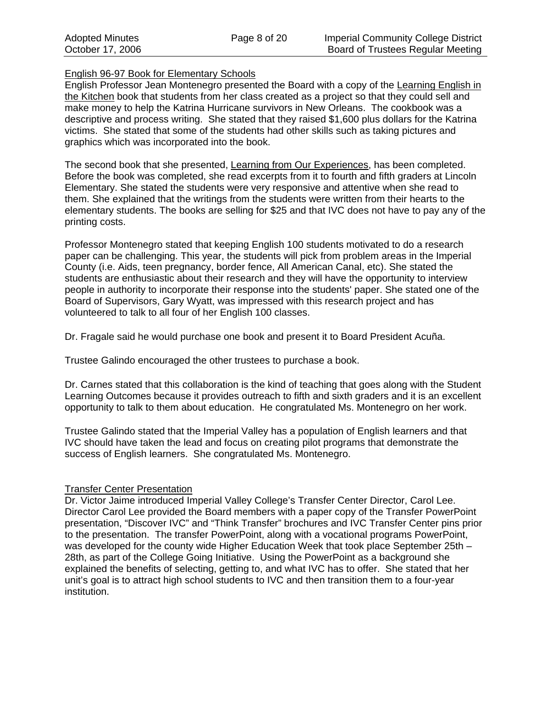## English 96-97 Book for Elementary Schools

English Professor Jean Montenegro presented the Board with a copy of the Learning English in the Kitchen book that students from her class created as a project so that they could sell and make money to help the Katrina Hurricane survivors in New Orleans. The cookbook was a descriptive and process writing. She stated that they raised \$1,600 plus dollars for the Katrina victims. She stated that some of the students had other skills such as taking pictures and graphics which was incorporated into the book.

The second book that she presented, Learning from Our Experiences, has been completed. Before the book was completed, she read excerpts from it to fourth and fifth graders at Lincoln Elementary. She stated the students were very responsive and attentive when she read to them. She explained that the writings from the students were written from their hearts to the elementary students. The books are selling for \$25 and that IVC does not have to pay any of the printing costs.

Professor Montenegro stated that keeping English 100 students motivated to do a research paper can be challenging. This year, the students will pick from problem areas in the Imperial County (i.e. Aids, teen pregnancy, border fence, All American Canal, etc). She stated the students are enthusiastic about their research and they will have the opportunity to interview people in authority to incorporate their response into the students' paper. She stated one of the Board of Supervisors, Gary Wyatt, was impressed with this research project and has volunteered to talk to all four of her English 100 classes.

Dr. Fragale said he would purchase one book and present it to Board President Acuña.

Trustee Galindo encouraged the other trustees to purchase a book.

Dr. Carnes stated that this collaboration is the kind of teaching that goes along with the Student Learning Outcomes because it provides outreach to fifth and sixth graders and it is an excellent opportunity to talk to them about education. He congratulated Ms. Montenegro on her work.

Trustee Galindo stated that the Imperial Valley has a population of English learners and that IVC should have taken the lead and focus on creating pilot programs that demonstrate the success of English learners. She congratulated Ms. Montenegro.

## **Transfer Center Presentation**

Dr. Victor Jaime introduced Imperial Valley College's Transfer Center Director, Carol Lee. Director Carol Lee provided the Board members with a paper copy of the Transfer PowerPoint presentation, "Discover IVC" and "Think Transfer" brochures and IVC Transfer Center pins prior to the presentation. The transfer PowerPoint, along with a vocational programs PowerPoint, was developed for the county wide Higher Education Week that took place September 25th – 28th, as part of the College Going Initiative. Using the PowerPoint as a background she explained the benefits of selecting, getting to, and what IVC has to offer. She stated that her unit's goal is to attract high school students to IVC and then transition them to a four-year institution.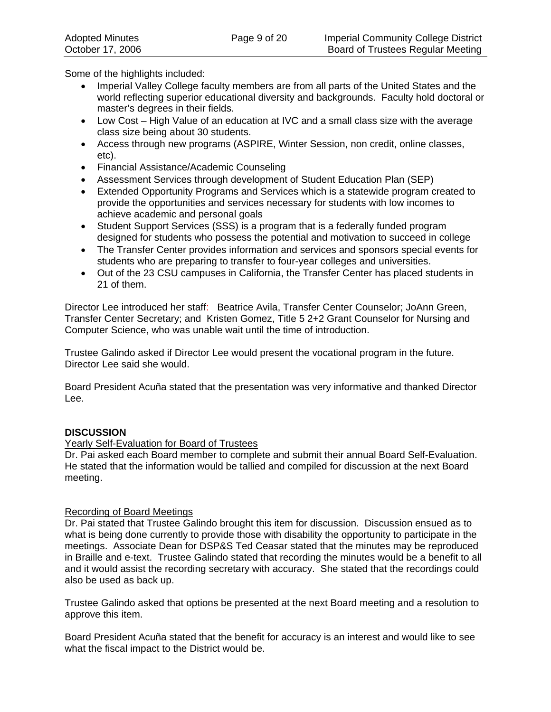Some of the highlights included:

- Imperial Valley College faculty members are from all parts of the United States and the world reflecting superior educational diversity and backgrounds. Faculty hold doctoral or master's degrees in their fields.
- Low Cost High Value of an education at IVC and a small class size with the average class size being about 30 students.
- Access through new programs (ASPIRE, Winter Session, non credit, online classes, etc).
- Financial Assistance/Academic Counseling
- Assessment Services through development of Student Education Plan (SEP)
- Extended Opportunity Programs and Services which is a statewide program created to provide the opportunities and services necessary for students with low incomes to achieve academic and personal goals
- Student Support Services (SSS) is a program that is a federally funded program designed for students who possess the potential and motivation to succeed in college
- The Transfer Center provides information and services and sponsors special events for students who are preparing to transfer to four-year colleges and universities.
- Out of the 23 CSU campuses in California, the Transfer Center has placed students in 21 of them.

Director Lee introduced her staff: Beatrice Avila, Transfer Center Counselor; JoAnn Green, Transfer Center Secretary; and Kristen Gomez, Title 5 2+2 Grant Counselor for Nursing and Computer Science, who was unable wait until the time of introduction.

Trustee Galindo asked if Director Lee would present the vocational program in the future. Director Lee said she would.

Board President Acuña stated that the presentation was very informative and thanked Director Lee.

## **DISCUSSION**

## Yearly Self-Evaluation for Board of Trustees

Dr. Pai asked each Board member to complete and submit their annual Board Self-Evaluation. He stated that the information would be tallied and compiled for discussion at the next Board meeting.

## Recording of Board Meetings

Dr. Pai stated that Trustee Galindo brought this item for discussion. Discussion ensued as to what is being done currently to provide those with disability the opportunity to participate in the meetings. Associate Dean for DSP&S Ted Ceasar stated that the minutes may be reproduced in Braille and e-text. Trustee Galindo stated that recording the minutes would be a benefit to all and it would assist the recording secretary with accuracy. She stated that the recordings could also be used as back up.

Trustee Galindo asked that options be presented at the next Board meeting and a resolution to approve this item.

Board President Acuña stated that the benefit for accuracy is an interest and would like to see what the fiscal impact to the District would be.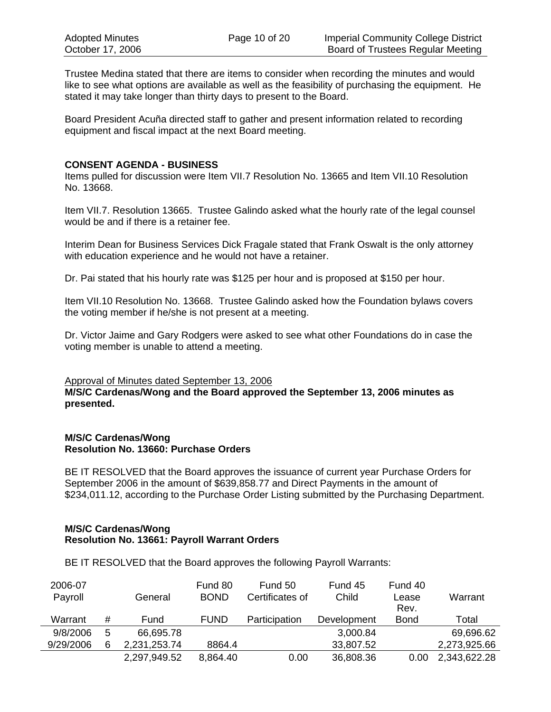Trustee Medina stated that there are items to consider when recording the minutes and would like to see what options are available as well as the feasibility of purchasing the equipment. He stated it may take longer than thirty days to present to the Board.

Board President Acuña directed staff to gather and present information related to recording equipment and fiscal impact at the next Board meeting.

#### **CONSENT AGENDA - BUSINESS**

Items pulled for discussion were Item VII.7 Resolution No. 13665 and Item VII.10 Resolution No. 13668.

Item VII.7. Resolution 13665. Trustee Galindo asked what the hourly rate of the legal counsel would be and if there is a retainer fee.

Interim Dean for Business Services Dick Fragale stated that Frank Oswalt is the only attorney with education experience and he would not have a retainer.

Dr. Pai stated that his hourly rate was \$125 per hour and is proposed at \$150 per hour.

Item VII.10 Resolution No. 13668. Trustee Galindo asked how the Foundation bylaws covers the voting member if he/she is not present at a meeting.

Dr. Victor Jaime and Gary Rodgers were asked to see what other Foundations do in case the voting member is unable to attend a meeting.

#### Approval of Minutes dated September 13, 2006

**M/S/C Cardenas/Wong and the Board approved the September 13, 2006 minutes as presented.** 

#### **M/S/C Cardenas/Wong Resolution No. 13660: Purchase Orders**

BE IT RESOLVED that the Board approves the issuance of current year Purchase Orders for September 2006 in the amount of \$639,858.77 and Direct Payments in the amount of \$234,011.12, according to the Purchase Order Listing submitted by the Purchasing Department.

#### **M/S/C Cardenas/Wong Resolution No. 13661: Payroll Warrant Orders**

BE IT RESOLVED that the Board approves the following Payroll Warrants:

| 2006-07   |   |              | Fund 80     | Fund 50         | Fund 45     | Fund 40     |              |
|-----------|---|--------------|-------------|-----------------|-------------|-------------|--------------|
| Payroll   |   | General      | <b>BOND</b> | Certificates of | Child       | Lease       | Warrant      |
|           |   |              |             |                 |             | Rev.        |              |
| Warrant   | # | Fund         | <b>FUND</b> | Participation   | Development | <b>Bond</b> | Total        |
| 9/8/2006  | 5 | 66,695.78    |             |                 | 3,000.84    |             | 69,696.62    |
| 9/29/2006 | 6 | 2,231,253.74 | 8864.4      |                 | 33,807.52   |             | 2,273,925.66 |
|           |   | 2,297,949.52 | 8,864.40    | 0.00            | 36,808.36   | 0.00        | 2,343,622.28 |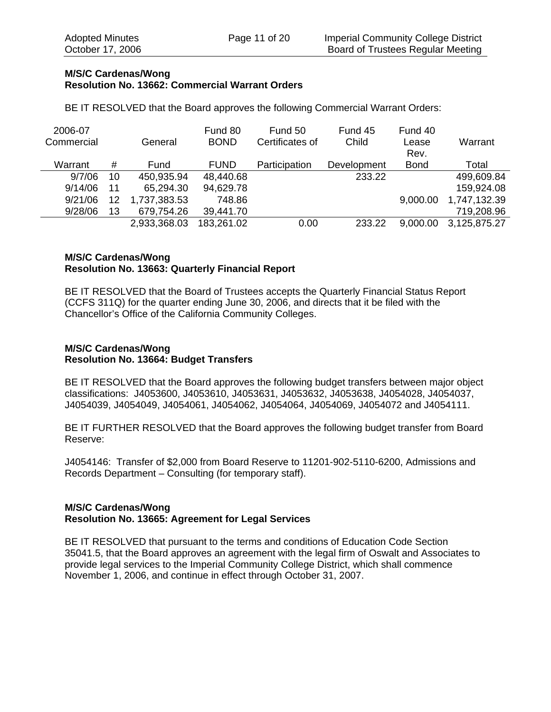#### **M/S/C Cardenas/Wong Resolution No. 13662: Commercial Warrant Orders**

BE IT RESOLVED that the Board approves the following Commercial Warrant Orders:

| 2006-07    |    |              | Fund 80     | Fund 50         | Fund 45     | Fund 40     |              |
|------------|----|--------------|-------------|-----------------|-------------|-------------|--------------|
| Commercial |    | General      | <b>BOND</b> | Certificates of | Child       | Lease       | Warrant      |
|            |    |              |             |                 |             | Rev.        |              |
| Warrant    | #  | Fund         | <b>FUND</b> | Participation   | Development | <b>Bond</b> | Total        |
| 9/7/06     | 10 | 450,935.94   | 48,440.68   |                 | 233.22      |             | 499,609.84   |
| 9/14/06    | 11 | 65,294.30    | 94,629.78   |                 |             |             | 159,924.08   |
| 9/21/06    | 12 | 1,737,383.53 | 748.86      |                 |             | 9,000.00    | 1,747,132.39 |
| 9/28/06    | 13 | 679,754.26   | 39,441.70   |                 |             |             | 719,208.96   |
|            |    | 2,933,368.03 | 183,261.02  | 0.00            | 233.22      | 9,000.00    | 3,125,875.27 |

## **M/S/C Cardenas/Wong Resolution No. 13663: Quarterly Financial Report**

BE IT RESOLVED that the Board of Trustees accepts the Quarterly Financial Status Report (CCFS 311Q) for the quarter ending June 30, 2006, and directs that it be filed with the Chancellor's Office of the California Community Colleges.

### **M/S/C Cardenas/Wong Resolution No. 13664: Budget Transfers**

BE IT RESOLVED that the Board approves the following budget transfers between major object classifications: J4053600, J4053610, J4053631, J4053632, J4053638, J4054028, J4054037, J4054039, J4054049, J4054061, J4054062, J4054064, J4054069, J4054072 and J4054111.

BE IT FURTHER RESOLVED that the Board approves the following budget transfer from Board Reserve:

J4054146: Transfer of \$2,000 from Board Reserve to 11201-902-5110-6200, Admissions and Records Department – Consulting (for temporary staff).

## **M/S/C Cardenas/Wong Resolution No. 13665: Agreement for Legal Services**

BE IT RESOLVED that pursuant to the terms and conditions of Education Code Section 35041.5, that the Board approves an agreement with the legal firm of Oswalt and Associates to provide legal services to the Imperial Community College District, which shall commence November 1, 2006, and continue in effect through October 31, 2007.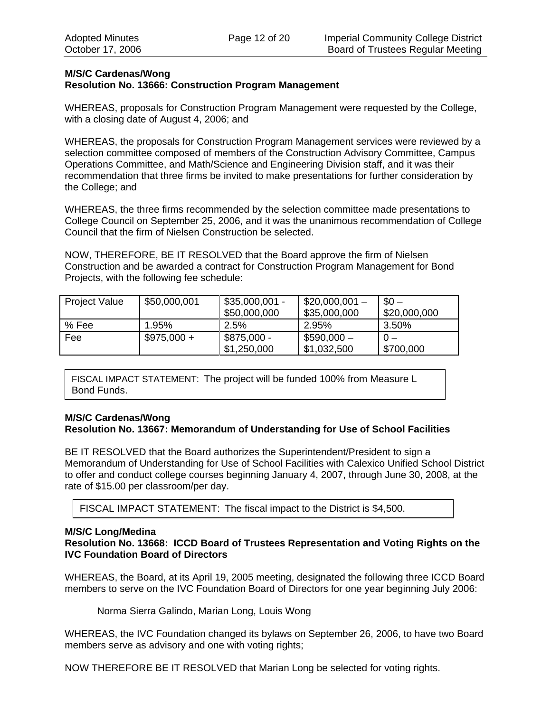#### **M/S/C Cardenas/Wong Resolution No. 13666: Construction Program Management**

WHEREAS, proposals for Construction Program Management were requested by the College, with a closing date of August 4, 2006; and

WHEREAS, the proposals for Construction Program Management services were reviewed by a selection committee composed of members of the Construction Advisory Committee, Campus Operations Committee, and Math/Science and Engineering Division staff, and it was their recommendation that three firms be invited to make presentations for further consideration by the College; and

WHEREAS, the three firms recommended by the selection committee made presentations to College Council on September 25, 2006, and it was the unanimous recommendation of College Council that the firm of Nielsen Construction be selected.

NOW, THEREFORE, BE IT RESOLVED that the Board approve the firm of Nielsen Construction and be awarded a contract for Construction Program Management for Bond Projects, with the following fee schedule:

| <b>Project Value</b> | \$50,000,001 | $$35,000,001 -$<br>\$50,000,000 | $$20,000,001 -$<br>\$35,000,000 | $$0 -$<br>\$20,000,000 |
|----------------------|--------------|---------------------------------|---------------------------------|------------------------|
| % Fee                | 1.95%        | 2.5%                            | 2.95%                           | 3.50%                  |
| Fee                  | $$975,000 +$ | \$875,000 -                     | $$590,000-$                     |                        |
|                      |              | \$1,250,000                     | \$1,032,500                     | \$700,000              |

FISCAL IMPACT STATEMENT: The project will be funded 100% from Measure L Bond Funds.

### **M/S/C Cardenas/Wong Resolution No. 13667: Memorandum of Understanding for Use of School Facilities**

BE IT RESOLVED that the Board authorizes the Superintendent/President to sign a Memorandum of Understanding for Use of School Facilities with Calexico Unified School District to offer and conduct college courses beginning January 4, 2007, through June 30, 2008, at the rate of \$15.00 per classroom/per day.

FISCAL IMPACT STATEMENT: The fiscal impact to the District is \$4,500.

#### **M/S/C Long/Medina**

### **Resolution No. 13668: ICCD Board of Trustees Representation and Voting Rights on the IVC Foundation Board of Directors**

WHEREAS, the Board, at its April 19, 2005 meeting, designated the following three ICCD Board members to serve on the IVC Foundation Board of Directors for one year beginning July 2006:

Norma Sierra Galindo, Marian Long, Louis Wong

WHEREAS, the IVC Foundation changed its bylaws on September 26, 2006, to have two Board members serve as advisory and one with voting rights;

NOW THEREFORE BE IT RESOLVED that Marian Long be selected for voting rights.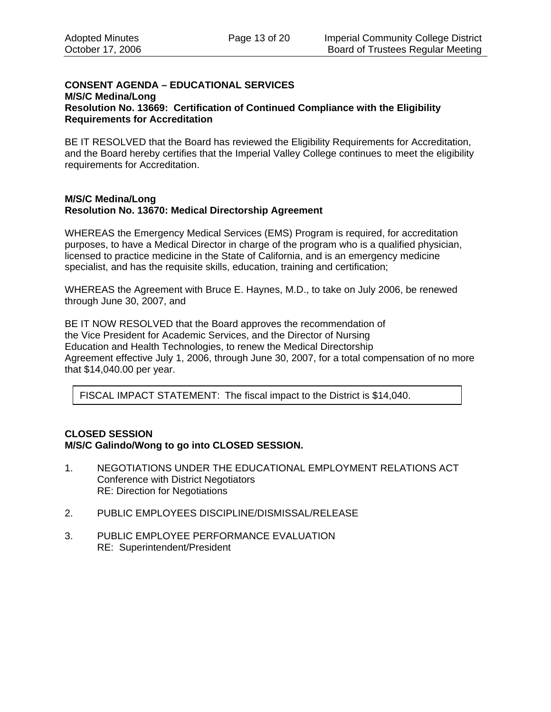### **CONSENT AGENDA – EDUCATIONAL SERVICES M/S/C Medina/Long Resolution No. 13669: Certification of Continued Compliance with the Eligibility Requirements for Accreditation**

BE IT RESOLVED that the Board has reviewed the Eligibility Requirements for Accreditation, and the Board hereby certifies that the Imperial Valley College continues to meet the eligibility requirements for Accreditation.

#### **M/S/C Medina/Long Resolution No. 13670: Medical Directorship Agreement**

WHEREAS the Emergency Medical Services (EMS) Program is required, for accreditation purposes, to have a Medical Director in charge of the program who is a qualified physician, licensed to practice medicine in the State of California, and is an emergency medicine specialist, and has the requisite skills, education, training and certification;

WHEREAS the Agreement with Bruce E. Haynes, M.D., to take on July 2006, be renewed through June 30, 2007, and

BE IT NOW RESOLVED that the Board approves the recommendation of the Vice President for Academic Services, and the Director of Nursing Education and Health Technologies, to renew the Medical Directorship Agreement effective July 1, 2006, through June 30, 2007, for a total compensation of no more that \$14,040.00 per year.

FISCAL IMPACT STATEMENT: The fiscal impact to the District is \$14,040.

### **CLOSED SESSION M/S/C Galindo/Wong to go into CLOSED SESSION.**

- 1. NEGOTIATIONS UNDER THE EDUCATIONAL EMPLOYMENT RELATIONS ACT Conference with District Negotiators RE: Direction for Negotiations
- 2. PUBLIC EMPLOYEES DISCIPLINE/DISMISSAL/RELEASE
- 3. PUBLIC EMPLOYEE PERFORMANCE EVALUATION RE: Superintendent/President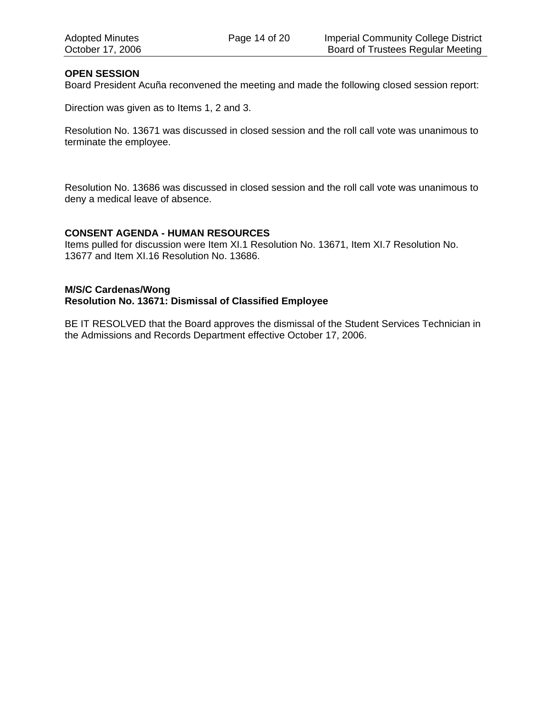### **OPEN SESSION**

Board President Acuña reconvened the meeting and made the following closed session report:

Direction was given as to Items 1, 2 and 3.

Resolution No. 13671 was discussed in closed session and the roll call vote was unanimous to terminate the employee.

Resolution No. 13686 was discussed in closed session and the roll call vote was unanimous to deny a medical leave of absence.

#### **CONSENT AGENDA - HUMAN RESOURCES**

Items pulled for discussion were Item XI.1 Resolution No. 13671, Item XI.7 Resolution No. 13677 and Item XI.16 Resolution No. 13686.

#### **M/S/C Cardenas/Wong Resolution No. 13671: Dismissal of Classified Employee**

BE IT RESOLVED that the Board approves the dismissal of the Student Services Technician in the Admissions and Records Department effective October 17, 2006.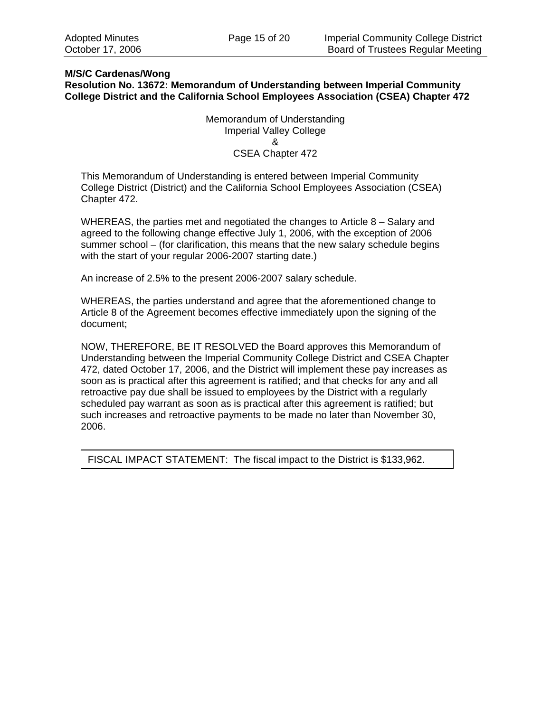### **M/S/C Cardenas/Wong**

**Resolution No. 13672: Memorandum of Understanding between Imperial Community College District and the California School Employees Association (CSEA) Chapter 472** 

> Memorandum of Understanding Imperial Valley College & CSEA Chapter 472

This Memorandum of Understanding is entered between Imperial Community College District (District) and the California School Employees Association (CSEA) Chapter 472.

WHEREAS, the parties met and negotiated the changes to Article 8 – Salary and agreed to the following change effective July 1, 2006, with the exception of 2006 summer school – (for clarification, this means that the new salary schedule begins with the start of your regular 2006-2007 starting date.)

An increase of 2.5% to the present 2006-2007 salary schedule.

WHEREAS, the parties understand and agree that the aforementioned change to Article 8 of the Agreement becomes effective immediately upon the signing of the document;

NOW, THEREFORE, BE IT RESOLVED the Board approves this Memorandum of Understanding between the Imperial Community College District and CSEA Chapter 472, dated October 17, 2006, and the District will implement these pay increases as soon as is practical after this agreement is ratified; and that checks for any and all retroactive pay due shall be issued to employees by the District with a regularly scheduled pay warrant as soon as is practical after this agreement is ratified; but such increases and retroactive payments to be made no later than November 30, 2006.

FISCAL IMPACT STATEMENT: The fiscal impact to the District is \$133,962.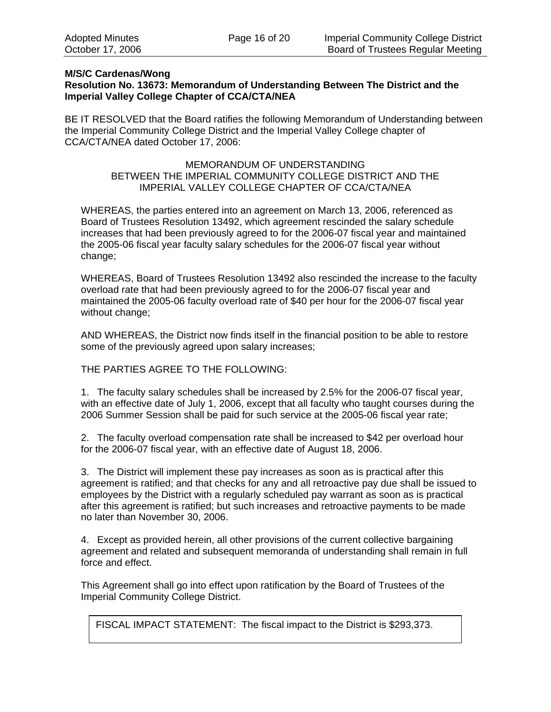## **M/S/C Cardenas/Wong**

## **Resolution No. 13673: Memorandum of Understanding Between The District and the Imperial Valley College Chapter of CCA/CTA/NEA**

BE IT RESOLVED that the Board ratifies the following Memorandum of Understanding between the Imperial Community College District and the Imperial Valley College chapter of CCA/CTA/NEA dated October 17, 2006:

## MEMORANDUM OF UNDERSTANDING BETWEEN THE IMPERIAL COMMUNITY COLLEGE DISTRICT AND THE IMPERIAL VALLEY COLLEGE CHAPTER OF CCA/CTA/NEA

WHEREAS, the parties entered into an agreement on March 13, 2006, referenced as Board of Trustees Resolution 13492, which agreement rescinded the salary schedule increases that had been previously agreed to for the 2006-07 fiscal year and maintained the 2005-06 fiscal year faculty salary schedules for the 2006-07 fiscal year without change;

WHEREAS, Board of Trustees Resolution 13492 also rescinded the increase to the faculty overload rate that had been previously agreed to for the 2006-07 fiscal year and maintained the 2005-06 faculty overload rate of \$40 per hour for the 2006-07 fiscal year without change;

AND WHEREAS, the District now finds itself in the financial position to be able to restore some of the previously agreed upon salary increases;

#### THE PARTIES AGREE TO THE FOLLOWING:

1. The faculty salary schedules shall be increased by 2.5% for the 2006-07 fiscal year, with an effective date of July 1, 2006, except that all faculty who taught courses during the 2006 Summer Session shall be paid for such service at the 2005-06 fiscal year rate;

2. The faculty overload compensation rate shall be increased to \$42 per overload hour for the 2006-07 fiscal year, with an effective date of August 18, 2006.

3. The District will implement these pay increases as soon as is practical after this agreement is ratified; and that checks for any and all retroactive pay due shall be issued to employees by the District with a regularly scheduled pay warrant as soon as is practical after this agreement is ratified; but such increases and retroactive payments to be made no later than November 30, 2006.

4. Except as provided herein, all other provisions of the current collective bargaining agreement and related and subsequent memoranda of understanding shall remain in full force and effect.

This Agreement shall go into effect upon ratification by the Board of Trustees of the Imperial Community College District.

FISCAL IMPACT STATEMENT: The fiscal impact to the District is \$293,373.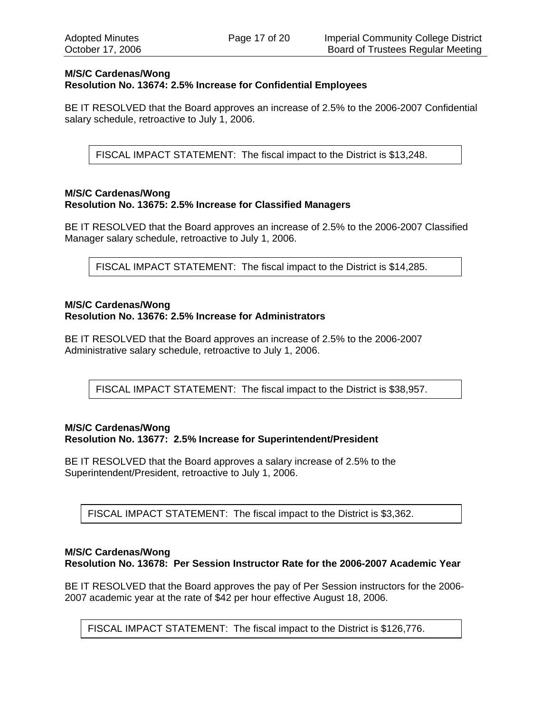#### **M/S/C Cardenas/Wong Resolution No. 13674: 2.5% Increase for Confidential Employees**

BE IT RESOLVED that the Board approves an increase of 2.5% to the 2006-2007 Confidential salary schedule, retroactive to July 1, 2006.

FISCAL IMPACT STATEMENT: The fiscal impact to the District is \$13,248.

#### **M/S/C Cardenas/Wong Resolution No. 13675: 2.5% Increase for Classified Managers**

BE IT RESOLVED that the Board approves an increase of 2.5% to the 2006-2007 Classified Manager salary schedule, retroactive to July 1, 2006.

FISCAL IMPACT STATEMENT: The fiscal impact to the District is \$14,285.

#### **M/S/C Cardenas/Wong Resolution No. 13676: 2.5% Increase for Administrators**

BE IT RESOLVED that the Board approves an increase of 2.5% to the 2006-2007 Administrative salary schedule, retroactive to July 1, 2006.

FISCAL IMPACT STATEMENT: The fiscal impact to the District is \$38,957.

#### **M/S/C Cardenas/Wong Resolution No. 13677: 2.5% Increase for Superintendent/President**

BE IT RESOLVED that the Board approves a salary increase of 2.5% to the Superintendent/President, retroactive to July 1, 2006.

FISCAL IMPACT STATEMENT: The fiscal impact to the District is \$3,362.

### **M/S/C Cardenas/Wong Resolution No. 13678: Per Session Instructor Rate for the 2006-2007 Academic Year**

BE IT RESOLVED that the Board approves the pay of Per Session instructors for the 2006- 2007 academic year at the rate of \$42 per hour effective August 18, 2006.

FISCAL IMPACT STATEMENT: The fiscal impact to the District is \$126,776.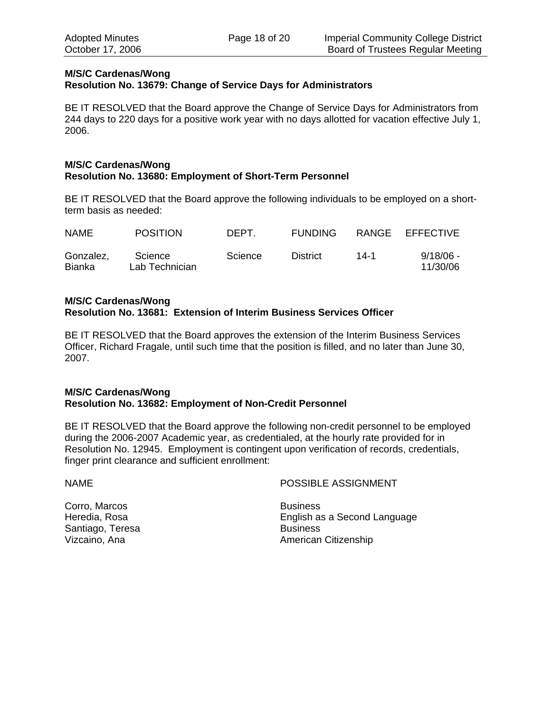### **M/S/C Cardenas/Wong Resolution No. 13679: Change of Service Days for Administrators**

BE IT RESOLVED that the Board approve the Change of Service Days for Administrators from 244 days to 220 days for a positive work year with no days allotted for vacation effective July 1, 2006.

#### **M/S/C Cardenas/Wong Resolution No. 13680: Employment of Short-Term Personnel**

BE IT RESOLVED that the Board approve the following individuals to be employed on a shortterm basis as needed:

| <b>NAME</b>                | <b>POSITION</b>           | DEPT.   | <b>FUNDING</b>  |      | RANGE EFFECTIVE         |
|----------------------------|---------------------------|---------|-----------------|------|-------------------------|
| Gonzalez,<br><b>Bianka</b> | Science<br>Lab Technician | Science | <b>District</b> | 14-1 | $9/18/06 -$<br>11/30/06 |

### **M/S/C Cardenas/Wong Resolution No. 13681: Extension of Interim Business Services Officer**

BE IT RESOLVED that the Board approves the extension of the Interim Business Services Officer, Richard Fragale, until such time that the position is filled, and no later than June 30, 2007.

## **M/S/C Cardenas/Wong Resolution No. 13682: Employment of Non-Credit Personnel**

BE IT RESOLVED that the Board approve the following non-credit personnel to be employed during the 2006-2007 Academic year, as credentialed, at the hourly rate provided for in Resolution No. 12945. Employment is contingent upon verification of records, credentials, finger print clearance and sufficient enrollment:

NAME POSSIBLE ASSIGNMENT

Corro, Marcos **Business** Santiago, Teresa Business

Heredia, Rosa English as a Second Language Vizcaino, Ana **American Citizenship** American Citizenship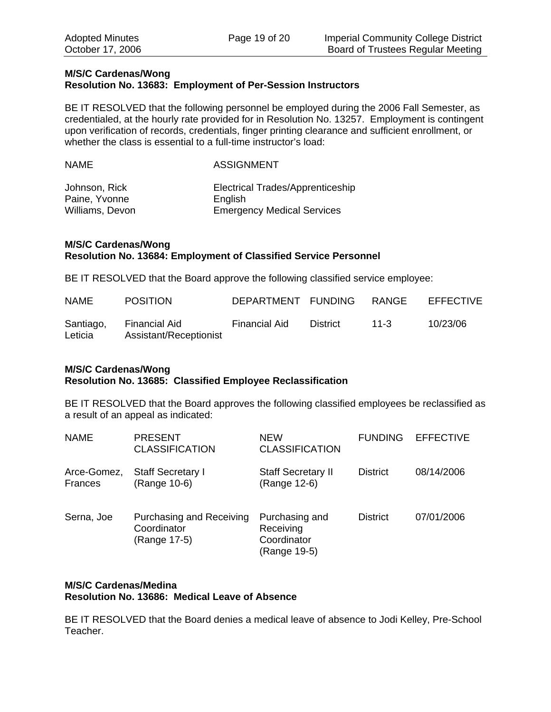#### **M/S/C Cardenas/Wong Resolution No. 13683: Employment of Per-Session Instructors**

BE IT RESOLVED that the following personnel be employed during the 2006 Fall Semester, as credentialed, at the hourly rate provided for in Resolution No. 13257. Employment is contingent upon verification of records, credentials, finger printing clearance and sufficient enrollment, or whether the class is essential to a full-time instructor's load:

| NAME            | <b>ASSIGNMENT</b>                 |  |  |  |
|-----------------|-----------------------------------|--|--|--|
| Johnson, Rick   | Electrical Trades/Apprenticeship  |  |  |  |
| Paine, Yvonne   | English                           |  |  |  |
| Williams, Devon | <b>Emergency Medical Services</b> |  |  |  |

### **M/S/C Cardenas/Wong Resolution No. 13684: Employment of Classified Service Personnel**

BE IT RESOLVED that the Board approve the following classified service employee:

| <b>NAME</b>          | <b>POSITION</b>                         | DEPARTMENT FUNDING |                 | RANGE    | <b>EFFECTIVE</b> |
|----------------------|-----------------------------------------|--------------------|-----------------|----------|------------------|
| Santiago,<br>Leticia | Financial Aid<br>Assistant/Receptionist | Financial Aid      | <b>District</b> | $11 - 3$ | 10/23/06         |

### **M/S/C Cardenas/Wong Resolution No. 13685: Classified Employee Reclassification**

BE IT RESOLVED that the Board approves the following classified employees be reclassified as a result of an appeal as indicated:

| <b>NAME</b>                   | <b>PRESENT</b><br><b>CLASSIFICATION</b>                        | <b>NEW</b><br><b>CLASSIFICATION</b>                        | <b>FUNDING</b>  | <b>EFFECTIVE</b> |
|-------------------------------|----------------------------------------------------------------|------------------------------------------------------------|-----------------|------------------|
| Arce-Gomez,<br><b>Frances</b> | <b>Staff Secretary I</b><br>(Range 10-6)                       | <b>Staff Secretary II</b><br>(Range 12-6)                  | <b>District</b> | 08/14/2006       |
| Serna, Joe                    | <b>Purchasing and Receiving</b><br>Coordinator<br>(Range 17-5) | Purchasing and<br>Receiving<br>Coordinator<br>(Range 19-5) | <b>District</b> | 07/01/2006       |

### **M/S/C Cardenas/Medina Resolution No. 13686: Medical Leave of Absence**

BE IT RESOLVED that the Board denies a medical leave of absence to Jodi Kelley, Pre-School Teacher.